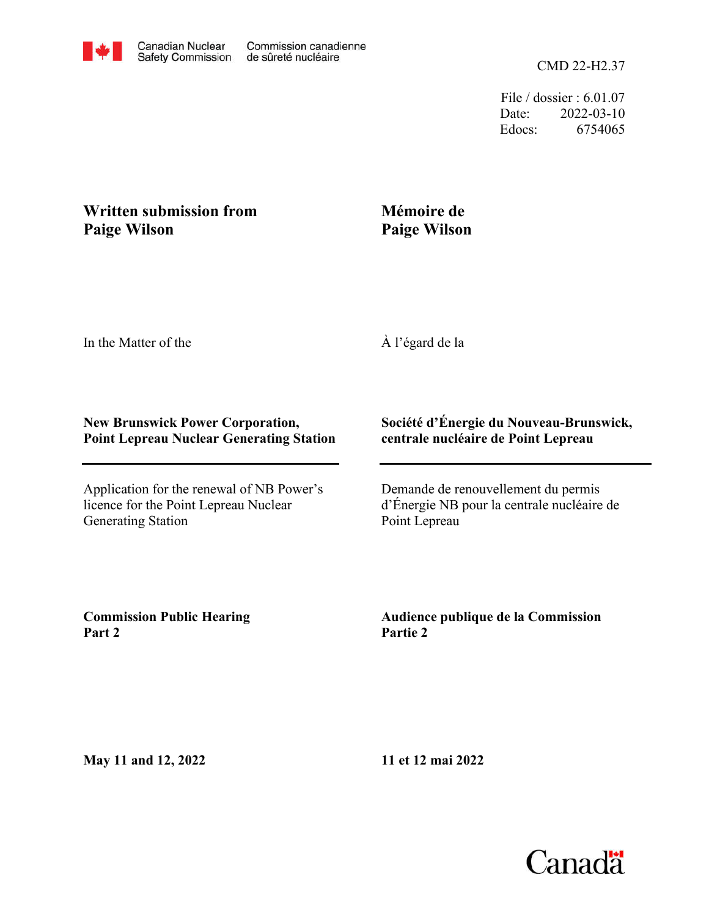File / dossier : 6.01.07 Date: 2022-03-10 Edocs: 6754065

## **Written submission from Paige Wilson**

## **Mémoire de Paige Wilson**

In the Matter of the

À l'égard de la

## **New Brunswick Power Corporation, Point Lepreau Nuclear Generating Station**

Application for the renewal of NB Power's licence for the Point Lepreau Nuclear Generating Station

## **Société d'Énergie du Nouveau-Brunswick, centrale nucléaire de Point Lepreau**

Demande de renouvellement du permis d'Énergie NB pour la centrale nucléaire de Point Lepreau

**Commission Public Hearing Part 2**

**Audience publique de la Commission Partie 2**

**May 11 and 12, 2022**

**11 et 12 mai 2022**